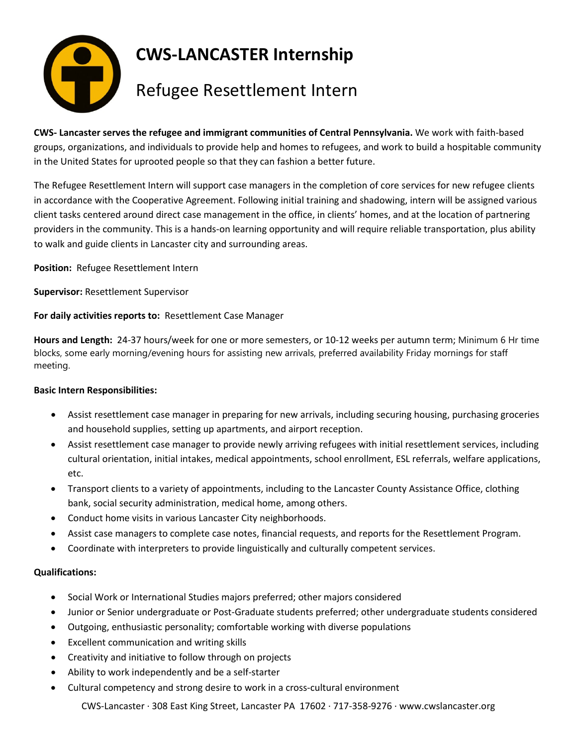

**CWS- Lancaster serves the refugee and immigrant communities of Central Pennsylvania.** We work with faith-based groups, organizations, and individuals to provide help and homes to refugees, and work to build a hospitable community in the United States for uprooted people so that they can fashion a better future.

The Refugee Resettlement Intern will support case managers in the completion of core services for new refugee clients in accordance with the Cooperative Agreement. Following initial training and shadowing, intern will be assigned various client tasks centered around direct case management in the office, in clients' homes, and at the location of partnering providers in the community. This is a hands-on learning opportunity and will require reliable transportation, plus ability to walk and guide clients in Lancaster city and surrounding areas.

**Position:** Refugee Resettlement Intern

**Supervisor:** Resettlement Supervisor

**For daily activities reports to:** Resettlement Case Manager

**Hours and Length:** 24-37 hours/week for one or more semesters, or 10-12 weeks per autumn term; Minimum 6 Hr time blocks, some early morning/evening hours for assisting new arrivals, preferred availability Friday mornings for staff meeting.

## **Basic Intern Responsibilities:**

- Assist resettlement case manager in preparing for new arrivals, including securing housing, purchasing groceries and household supplies, setting up apartments, and airport reception.
- Assist resettlement case manager to provide newly arriving refugees with initial resettlement services, including cultural orientation, initial intakes, medical appointments, school enrollment, ESL referrals, welfare applications, etc.
- Transport clients to a variety of appointments, including to the Lancaster County Assistance Office, clothing bank, social security administration, medical home, among others.
- Conduct home visits in various Lancaster City neighborhoods.
- Assist case managers to complete case notes, financial requests, and reports for the Resettlement Program.
- Coordinate with interpreters to provide linguistically and culturally competent services.

## **Qualifications:**

- Social Work or International Studies majors preferred; other majors considered
- Junior or Senior undergraduate or Post-Graduate students preferred; other undergraduate students considered
- Outgoing, enthusiastic personality; comfortable working with diverse populations
- Excellent communication and writing skills
- Creativity and initiative to follow through on projects
- Ability to work independently and be a self-starter
- Cultural competency and strong desire to work in a cross-cultural environment

CWS-Lancaster ∙ 308 East King Street, Lancaster PA 17602 ∙ 717-358-9276 ∙ www.cwslancaster.org